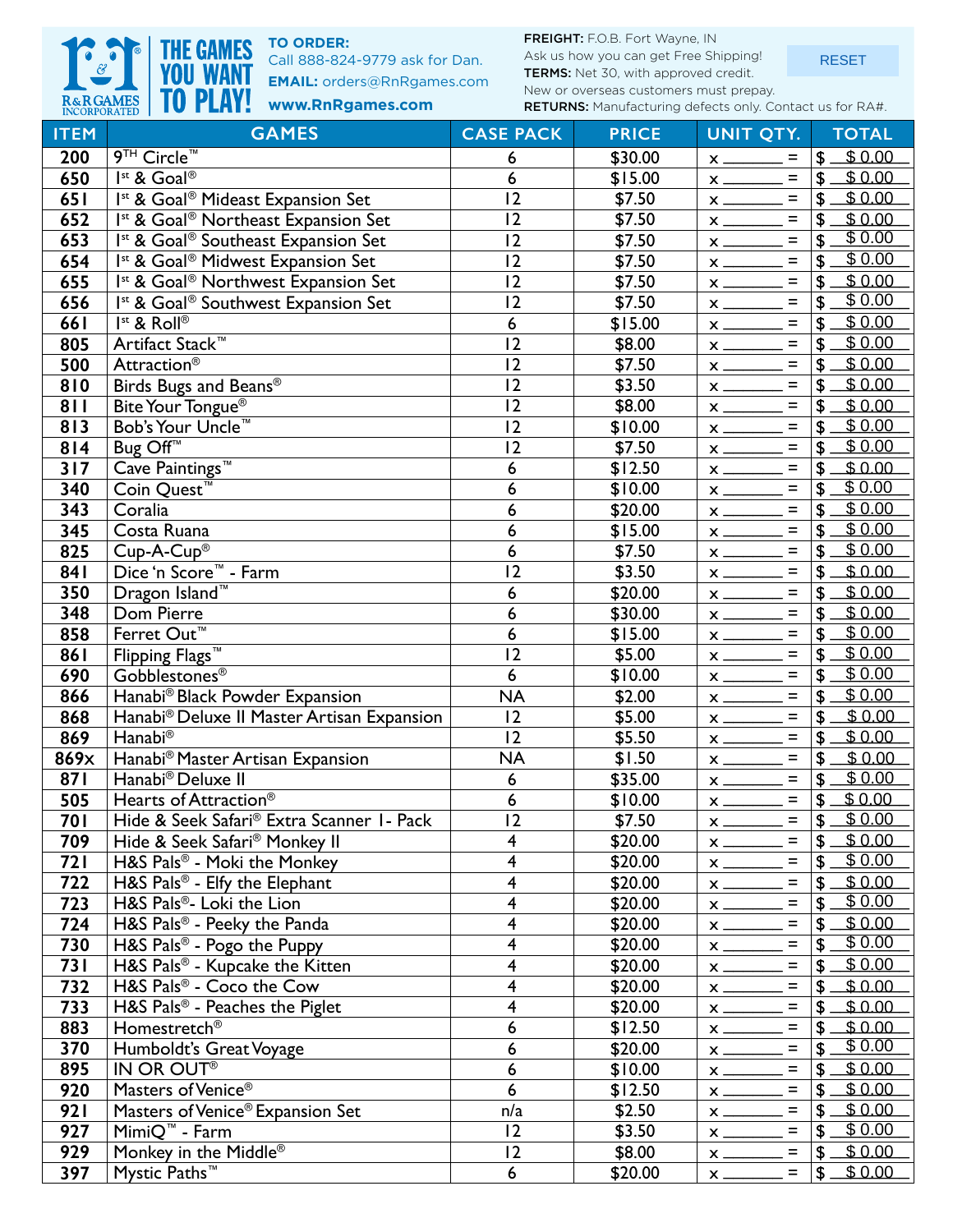

**TO ORDER:**

Call 888-824-9779 ask for Dan. **EMAIL:** orders@RnRgames.com FREIGHT: F.O.B. Fort Wayne, IN

Ask us how you can get Free Shipping! TERMS: Net 30, with approved credit. New or overseas customers must prepay. RETURNS: Manufacturing defects only. Contact us for RA#.

RESET

| R&RGAMES<br>INCORPORATED | <b>IO PLAY!</b><br>www.RnRgames.com                        | RETURNS: Manufacturing defects only. Contact us for RA#. |              |                                        |                          |
|--------------------------|------------------------------------------------------------|----------------------------------------------------------|--------------|----------------------------------------|--------------------------|
| <b>ITEM</b>              | <b>GAMES</b>                                               | <b>CASE PACK</b>                                         | <b>PRICE</b> | UNIT QTY.                              | <b>TOTAL</b>             |
| 200                      | 9TH Circle <sup>™</sup>                                    | 6                                                        | \$30.00      | $=$                                    | \$0.00<br>\$             |
| 650                      | Ist & Goal®                                                | 6                                                        | \$15.00      | $=$                                    | \$0.00<br>\$             |
| 651                      | Ist & Goal <sup>®</sup> Mideast Expansion Set              | 12                                                       | \$7.50       | $\equiv$<br>$x \longrightarrow$        | \$0.00<br>\$             |
| 652                      | Ist & Goal <sup>®</sup> Northeast Expansion Set            | $\overline{12}$                                          | \$7.50       | $\equiv$                               | \$0.00<br>\$             |
| 653                      | Ist & Goal <sup>®</sup> Southeast Expansion Set            | 12                                                       | \$7.50       | $\equiv$                               | \$0.00<br>\$             |
| 654                      | Ist & Goal <sup>®</sup> Midwest Expansion Set              | 12                                                       | \$7.50       | $\equiv$<br>$x \longrightarrow$        | \$0.00<br>\$             |
| 655                      | <sup>Ist</sup> & Goal <sup>®</sup> Northwest Expansion Set | 12                                                       | \$7.50       | $=$                                    | \$0.00<br>\$             |
| 656                      | Ist & Goal <sup>®</sup> Southwest Expansion Set            | 12                                                       | \$7.50       | $\equiv$                               | \$0.00<br>\$             |
| 661                      | Ist & Roll®                                                | 6                                                        | \$15.00      | $\equiv$                               | \$0.00<br>\$             |
| 805                      | Artifact Stack™                                            | 12                                                       | \$8.00       | $\equiv$                               | \$0.00<br>\$             |
| 500                      | Attraction <sup>®</sup>                                    | 12                                                       | \$7.50       | $\equiv$                               | \$0.00<br>\$             |
| 810                      | Birds Bugs and Beans®                                      | 12                                                       | \$3.50       | $\equiv$                               | \$0.00<br>\$             |
| 811                      | Bite Your Tongue <sup>®</sup>                              | 12                                                       | \$8.00       | $\equiv$                               | \$0.00<br>\$             |
| 813                      | Bob's Your Uncle™                                          | 12                                                       | \$10.00      | $\equiv$                               | \$0.00<br>\$             |
| 814                      | Bug Off <sup>™</sup>                                       | 12                                                       | \$7.50       | $=$                                    | $\overline{$}0.00$<br>\$ |
| 317                      | Cave Paintings™                                            | 6                                                        | \$12.50      | $\equiv$<br>$x \overline{\phantom{a}}$ | \$0.00<br>\$             |
| 340                      | Coin Quest <sup>™</sup>                                    | $\boldsymbol{6}$                                         | \$10.00      | $\equiv$                               | \$0.00<br>\$             |
| 343                      | Coralia                                                    | 6                                                        | \$20.00      | $\equiv$                               | \$0.00<br>\$             |
| 345                      | Costa Ruana                                                | 6                                                        | \$15.00      | $\equiv$                               | 50.00<br>\$              |
| 825                      | $Cup-A-Cup^\circledR$                                      | 6                                                        | \$7.50       | $=$                                    | \$0.00<br>\$             |
| 841                      | Dice 'n Score™ - Farm                                      | 12                                                       | \$3.50       | $\equiv$                               | \$0.00<br>\$             |
| 350                      | Dragon Island <sup>™</sup>                                 | 6                                                        | \$20.00      | $\equiv$                               | \$0.00<br>\$             |
| 348                      | Dom Pierre                                                 | 6                                                        | \$30.00      | $x \overline{\phantom{a}}$<br>$\equiv$ | \$0.00<br>$\mathbf S$    |
| 858                      | Ferret Out <sup>™</sup>                                    | 6                                                        | \$15.00      | $\equiv$                               | \$0.00<br>\$             |
| 861                      | Flipping Flags <sup>™</sup>                                | 2                                                        | \$5.00       | $\equiv$                               | \$0.00<br>\$             |
| 690                      | Gobblestones <sup>®</sup>                                  | $6\phantom{1}6$                                          | \$10.00      | $\equiv$<br>$x \overline{\phantom{a}}$ | \$0.00<br>\$             |
| 866                      | Hanabi® Black Powder Expansion                             | <b>NA</b>                                                | \$2.00       | $=$                                    | \$0.00<br>\$             |
| 868                      | Hanabi® Deluxe II Master Artisan Expansion                 | 2                                                        | \$5.00       | $\equiv$                               | \$0.00<br>\$             |
| 869                      | Hanabi®                                                    | 12                                                       | \$5.50       | $\equiv$                               | \$0.00<br>\$             |
| 869x                     | Hanabi® Master Artisan Expansion                           | <b>NA</b>                                                | \$1.50       | $\equiv$                               | $\overline{$}0.00$<br>\$ |
| 87I                      | Hanabi® Deluxe II                                          | 6                                                        | \$35.00      | $\equiv$                               | \$0.00<br>\$             |
| 505                      | Hearts of Attraction <sup>®</sup>                          | 6                                                        | \$10.00      | $\equiv$                               | \$<br>\$0.00             |
| <b>701</b>               | Hide & Seek Safari® Extra Scanner 1- Pack                  | 12                                                       | \$7.50       | $=$<br>$x_{-}$                         | \$0.00<br>\$             |
| 709                      | Hide & Seek Safari <sup>®</sup> Monkey II                  | 4                                                        | \$20.00      | $=$<br>$x_{-}$                         | \$0.00<br>\$             |
| <b>721</b>               | H&S Pals® - Moki the Monkey                                | 4                                                        | \$20.00      | $=$<br>$x$ <sub>___</sub>              | \$0.00<br>\$             |
| 722                      | H&S Pals® - Elfy the Elephant                              | 4                                                        | \$20.00      | $=$<br>$x$ —                           | \$0.00<br>\$             |
| 723                      | H&S Pals®- Loki the Lion                                   | 4                                                        | \$20.00      | $=$<br>$x$ <sub>---</sub>              | \$0.00<br>S              |
| 724                      | H&S Pals® - Peeky the Panda                                | 4                                                        | \$20.00      | $=$<br>$x_{-}$                         | $\overline{$}0.00$<br>\$ |
| 730                      | H&S Pals <sup>®</sup> - Pogo the Puppy                     | 4                                                        | \$20.00      | $\equiv$<br>$x_{-}$                    | \$0.00<br>\$             |
| <b>731</b>               | H&S Pals <sup>®</sup> - Kupcake the Kitten                 | 4                                                        | \$20.00      | $\qquad \qquad =$<br>$x_{-}$           | \$0.00                   |
| 732                      | H&S Pals® - Coco the Cow                                   | 4                                                        | \$20.00      | $\qquad \qquad =$<br>$x_{-}$           | \$0.00<br>\$             |
| 733                      | H&S Pals <sup>®</sup> - Peaches the Piglet                 | 4                                                        | \$20.00      | $=$<br>$x_{-}$                         | \$0.00<br>£              |
| 883                      | Homestretch <sup>®</sup>                                   | 6                                                        | \$12.50      | $=$<br>$x_{-}$                         | \$0.00<br>\$             |
| 370                      | Humboldt's Great Voyage                                    | 6                                                        | \$20.00      | $\equiv$                               | \$0.00<br>\$             |
| 895                      | IN OR OUT®                                                 | 6                                                        | \$10.00      | $\equiv$<br>$x$ <sub>___</sub>         | \$0.00<br>S              |
| 920                      | Masters of Venice®                                         | 6                                                        | \$12.50      | $\qquad \qquad =$                      | \$0.00<br>£              |
| <b>921</b>               | Masters of Venice® Expansion Set                           | n/a                                                      | \$2.50       | $\equiv$<br>$x_{-}$                    | \$0.00<br>£              |
| 927                      | MimiQ <sup>™</sup> - Farm                                  | $ 2\rangle$                                              | \$3.50       | $\qquad \qquad =$<br>$x_{-}$           | \$0.00<br>\$             |
| 929                      | Monkey in the Middle®                                      | $\overline{2}$                                           | \$8.00       | $\equiv$<br>$x_{-}$                    | \$0.00                   |
| 397                      | Mystic Paths <sup>™</sup>                                  | 6                                                        | \$20.00      | $=$<br>$x_{-}$                         | \$0.00<br>\$.            |